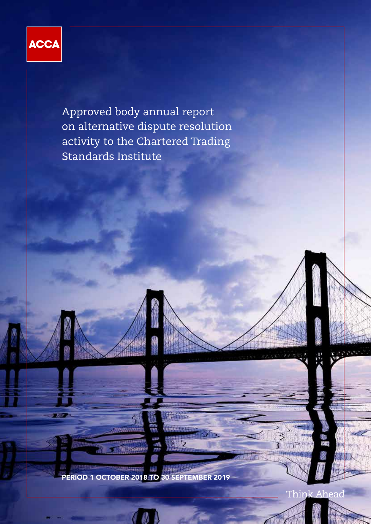

**Part 200** 

Approved body annual report on alternative dispute resolution activity to the Chartered Trading Standards Institute

**SUPPLICATION** PERIOD 1 OCTOBER 2018 TO 30 SEPTEMBER 2019

**Millippearer** 

Think Ahead

3 ī

经营费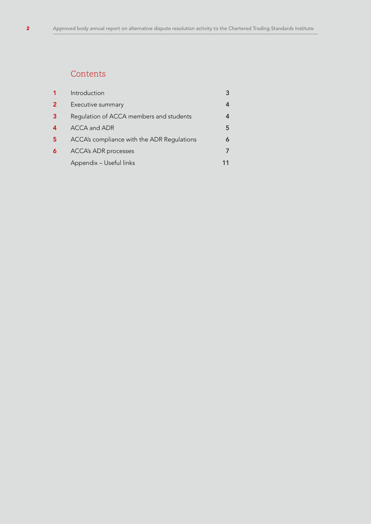# **Contents**

|                  | Introduction                               | 3 |
|------------------|--------------------------------------------|---|
| 2                | Executive summary                          | 4 |
| 3                | Regulation of ACCA members and students    | 4 |
| $\boldsymbol{4}$ | ACCA and ADR                               | 5 |
| 5                | ACCA's compliance with the ADR Regulations | 6 |
| 6                | <b>ACCA's ADR processes</b>                |   |
|                  | Appendix - Useful links                    |   |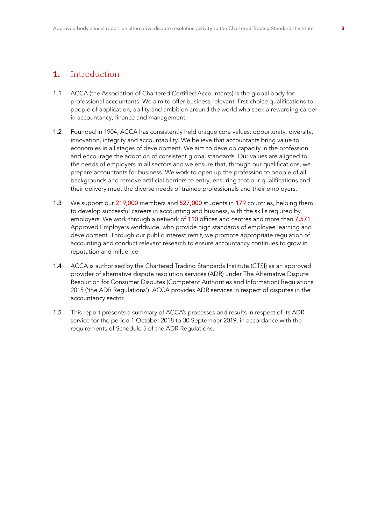## 1. Introduction

- 1.1 ACCA (the Association of Chartered Certified Accountants) is the global body for professional accountants. We aim to offer business-relevant, first-choice qualifications to people of application, ability and ambition around the world who seek a rewarding career in accountancy, finance and management.
- 1.2 Founded in 1904, ACCA has consistently held unique core values: opportunity, diversity, innovation, integrity and accountability. We believe that accountants bring value to economies in all stages of development. We aim to develop capacity in the profession and encourage the adoption of consistent global standards. Our values are aligned to the needs of employers in all sectors and we ensure that, through our qualifications, we prepare accountants for business. We work to open up the profession to people of all backgrounds and remove artificial barriers to entry, ensuring that our qualifications and their delivery meet the diverse needs of trainee professionals and their employers.
- 1.3 We support our 219,000 members and 527,000 students in 179 countries, helping them to develop successful careers in accounting and business, with the skills required by employers. We work through a network of 110 offices and centres and more than 7,571 Approved Employers worldwide, who provide high standards of employee learning and development. Through our public interest remit, we promote appropriate regulation of accounting and conduct relevant research to ensure accountancy continues to grow in reputation and influence.
- 1.4 ACCA is authorised by the Chartered Trading Standards Institute (CTSI) as an approved provider of alternative dispute resolution services (ADR) under The Alternative Dispute Resolution for Consumer Disputes (Competent Authorities and Information) Regulations 2015 ('the ADR Regulations'). ACCA provides ADR services in respect of disputes in the accountancy sector.
- 1.5 This report presents a summary of ACCA's processes and results in respect of its ADR service for the period 1 October 2018 to 30 September 2019, in accordance with the requirements of Schedule 5 of the ADR Regulations.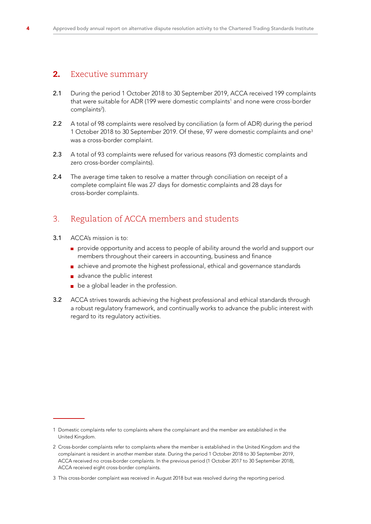# 2. Executive summary

- 2.1 During the period 1 October 2018 to 30 September 2019, ACCA received 199 complaints that were suitable for ADR (199 were domestic complaints $^{\rm 1}$  and none were cross-border complaints<sup>2</sup>).
- 2.2 A total of 98 complaints were resolved by conciliation (a form of ADR) during the period 1 October 2018 to 30 September 2019. Of these, 97 were domestic complaints and one3 was a cross-border complaint.
- 2.3 A total of 93 complaints were refused for various reasons (93 domestic complaints and zero cross-border complaints).
- 2.4 The average time taken to resolve a matter through conciliation on receipt of a complete complaint file was 27 days for domestic complaints and 28 days for cross-border complaints.

# 3. Regulation of ACCA members and students

- 3.1 ACCA's mission is to:
	- provide opportunity and access to people of ability around the world and support our members throughout their careers in accounting, business and finance
	- achieve and promote the highest professional, ethical and governance standards
	- advance the public interest
	- **be a global leader in the profession.**
- 3.2 ACCA strives towards achieving the highest professional and ethical standards through a robust regulatory framework, and continually works to advance the public interest with regard to its regulatory activities.

<sup>1</sup> Domestic complaints refer to complaints where the complainant and the member are established in the United Kingdom.

<sup>2</sup> Cross-border complaints refer to complaints where the member is established in the United Kingdom and the complainant is resident in another member state. During the period 1 October 2018 to 30 September 2019, ACCA received no cross-border complaints. In the previous period (1 October 2017 to 30 September 2018), ACCA received eight cross-border complaints.

<sup>3</sup> This cross-border complaint was received in August 2018 but was resolved during the reporting period.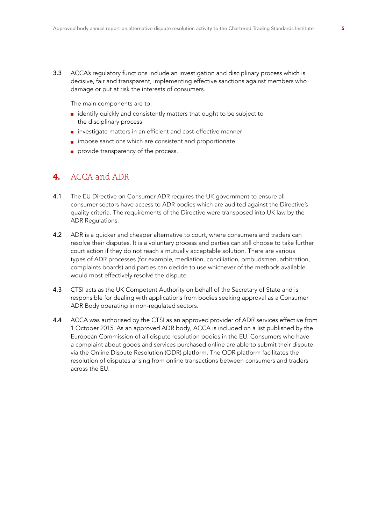3.3 ACCA's regulatory functions include an investigation and disciplinary process which is decisive, fair and transparent, implementing effective sanctions against members who damage or put at risk the interests of consumers.

 The main components are to:

- $\blacksquare$  identify quickly and consistently matters that ought to be subject to the disciplinary process
- **n** investigate matters in an efficient and cost-effective manner
- **n** impose sanctions which are consistent and proportionate
- provide transparency of the process.

## 4. ACCA and ADR

- 4.1 The EU Directive on Consumer ADR requires the UK government to ensure all consumer sectors have access to ADR bodies which are audited against the Directive's quality criteria. The requirements of the Directive were transposed into UK law by the ADR Regulations.
- 4.2 ADR is a quicker and cheaper alternative to court, where consumers and traders can resolve their disputes. It is a voluntary process and parties can still choose to take further court action if they do not reach a mutually acceptable solution. There are various types of ADR processes (for example, mediation, conciliation, ombudsmen, arbitration, complaints boards) and parties can decide to use whichever of the methods available would most effectively resolve the dispute.
- 4.3 CTSI acts as the UK Competent Authority on behalf of the Secretary of State and is responsible for dealing with applications from bodies seeking approval as a Consumer ADR Body operating in non-regulated sectors.
- 4.4 ACCA was authorised by the CTSI as an approved provider of ADR services effective from 1 October 2015. As an approved ADR body, ACCA is included on a list published by the European Commission of all dispute resolution bodies in the EU. Consumers who have a complaint about goods and services purchased online are able to submit their dispute via the Online Dispute Resolution (ODR) platform. The ODR platform facilitates the resolution of disputes arising from online transactions between consumers and traders across the EU.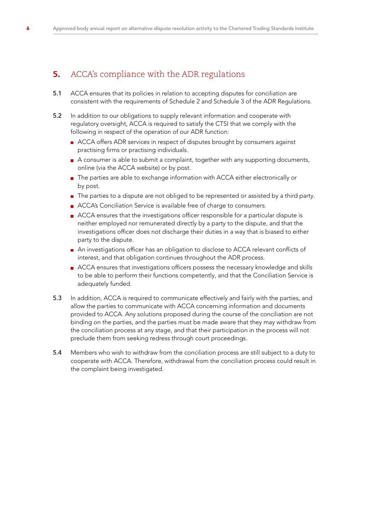# **5.** ACCA's compliance with the ADR regulations

- 5.1 ACCA ensures that its policies in relation to accepting disputes for conciliation are consistent with the requirements of Schedule 2 and Schedule 3 of the ADR Regulations.
- 5.2 In addition to our obligations to supply relevant information and cooperate with regulatory oversight, ACCA is required to satisfy the CTSI that we comply with the following in respect of the operation of our ADR function:
	- ACCA offers ADR services in respect of disputes brought by consumers against practising firms or practising individuals.
	- A consumer is able to submit a complaint, together with any supporting documents, online (via the ACCA website) or by post.
	- **The parties are able to exchange information with ACCA either electronically or** by post.
	- The parties to a dispute are not obliged to be represented or assisted by a third party.
	- ACCA's Conciliation Service is available free of charge to consumers.
	- ACCA ensures that the investigations officer responsible for a particular dispute is neither employed nor remunerated directly by a party to the dispute, and that the investigations officer does not discharge their duties in a way that is biased to either party to the dispute.
	- An investigations officer has an obligation to disclose to ACCA relevant conflicts of interest, and that obligation continues throughout the ADR process.
	- ACCA ensures that investigations officers possess the necessary knowledge and skills to be able to perform their functions competently, and that the Conciliation Service is adequately funded.
- 5.3 In addition, ACCA is required to communicate effectively and fairly with the parties, and allow the parties to communicate with ACCA concerning information and documents provided to ACCA. Any solutions proposed during the course of the conciliation are not binding on the parties, and the parties must be made aware that they may withdraw from the conciliation process at any stage, and that their participation in the process will not preclude them from seeking redress through court proceedings.
- 5.4 Members who wish to withdraw from the conciliation process are still subject to a duty to cooperate with ACCA. Therefore, withdrawal from the conciliation process could result in the complaint being investigated.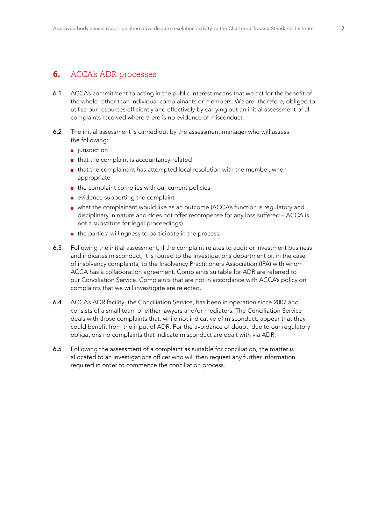## **6.** ACCA's ADR processes

- 6.1 ACCA's commitment to acting in the public interest means that we act for the benefit of the whole rather than individual complainants or members. We are, therefore, obliged to utilise our resources efficiently and effectively by carrying out an initial assessment of all complaints received where there is no evidence of misconduct.
- 6.2 The initial assessment is carried out by the assessment manager who will assess the following:
	- urisdiction
	- that the complaint is accountancy-related
	- $\blacksquare$  that the complainant has attempted local resolution with the member, when appropriate
	- $\blacksquare$  the complaint complies with our current policies
	- $\blacksquare$  evidence supporting the complaint
	- what the complainant would like as an outcome (ACCA's function is regulatory and disciplinary in nature and does not offer recompense for any loss suffered – ACCA is not a substitute for legal proceedings)
	- $\blacksquare$  the parties' willingness to participate in the process.
- 6.3 Following the initial assessment, if the complaint relates to audit or investment business and indicates misconduct, it is routed to the Investigations department or, in the case of insolvency complaints, to the Insolvency Practitioners Association (IPA) with whom ACCA has a collaboration agreement. Complaints suitable for ADR are referred to our Conciliation Service. Complaints that are not in accordance with ACCA's policy on complaints that we will investigate are rejected.
- 6.4 ACCA's ADR facility, the Conciliation Service, has been in operation since 2007 and consists of a small team of either lawyers and/or mediators. The Conciliation Service deals with those complaints that, while not indicative of misconduct, appear that they could benefit from the input of ADR. For the avoidance of doubt, due to our regulatory obligations no complaints that indicate misconduct are dealt with via ADR.
- 6.5 Following the assessment of a complaint as suitable for conciliation, the matter is allocated to an investigations officer who will then request any further information required in order to commence the conciliation process.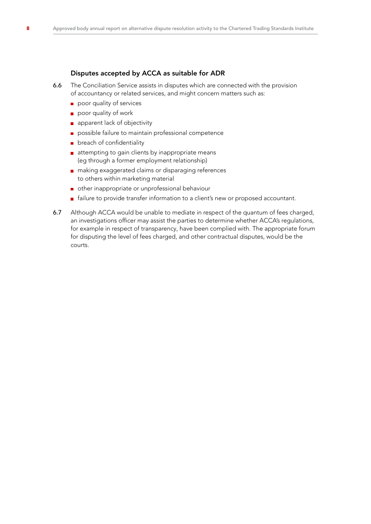## Disputes accepted by ACCA as suitable for ADR

- 6.6 The Conciliation Service assists in disputes which are connected with the provision of accountancy or related services, and might concern matters such as:
	- poor quality of services
	- poor quality of work
	- **a** apparent lack of objectivity
	- possible failure to maintain professional competence
	- **p** breach of confidentiality
	- **a** attempting to gain clients by inappropriate means (eg through a former employment relationship)
	- **n** making exaggerated claims or disparaging references to others within marketing material
	- other inappropriate or unprofessional behaviour
	- failure to provide transfer information to a client's new or proposed accountant.
- 6.7 Although ACCA would be unable to mediate in respect of the quantum of fees charged, an investigations officer may assist the parties to determine whether ACCA's regulations, for example in respect of transparency, have been complied with. The appropriate forum for disputing the level of fees charged, and other contractual disputes, would be the courts.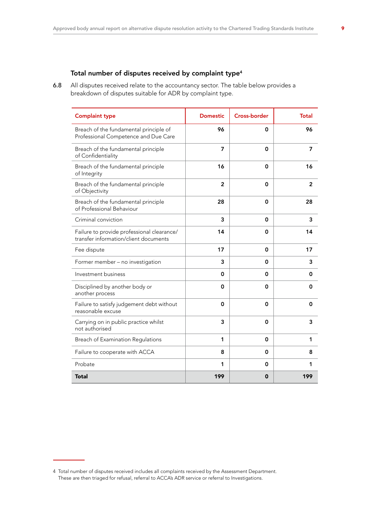## Total number of disputes received by complaint type<sup>4</sup>

6.8 All disputes received relate to the accountancy sector. The table below provides a breakdown of disputes suitable for ADR by complaint type.

| <b>Complaint type</b>                                                               | <b>Domestic</b> | <b>Cross-border</b> | <b>Total</b>   |
|-------------------------------------------------------------------------------------|-----------------|---------------------|----------------|
| Breach of the fundamental principle of<br>Professional Competence and Due Care      | 96              | 0                   | 96             |
| Breach of the fundamental principle<br>of Confidentiality                           | 7               | 0                   | 7              |
| Breach of the fundamental principle<br>of Integrity                                 | 16              | 0                   | 16             |
| Breach of the fundamental principle<br>of Objectivity                               | $\overline{2}$  | 0                   | $\overline{2}$ |
| Breach of the fundamental principle<br>of Professional Behaviour                    | 28              | 0                   | 28             |
| Criminal conviction                                                                 | 3               | 0                   | 3              |
| Failure to provide professional clearance/<br>transfer information/client documents | 14              | 0                   | 14             |
| Fee dispute                                                                         | 17              | 0                   | 17             |
| Former member - no investigation                                                    | 3               | 0                   | 3              |
| Investment business                                                                 | 0               | 0                   | 0              |
| Disciplined by another body or<br>another process                                   | 0               | 0                   | 0              |
| Failure to satisfy judgement debt without<br>reasonable excuse                      | 0               | 0                   | 0              |
| Carrying on in public practice whilst<br>not authorised                             | 3               | 0                   | 3              |
| Breach of Examination Regulations                                                   | 1               | 0                   | 1              |
| Failure to cooperate with ACCA                                                      | 8               | 0                   | 8              |
| Probate                                                                             | 1               | 0                   | 1              |
| Total                                                                               | 199             | 0                   | 199            |

<sup>4</sup> Total number of disputes received includes all complaints received by the Assessment Department. These are then triaged for refusal, referral to ACCA's ADR service or referral to Investigations.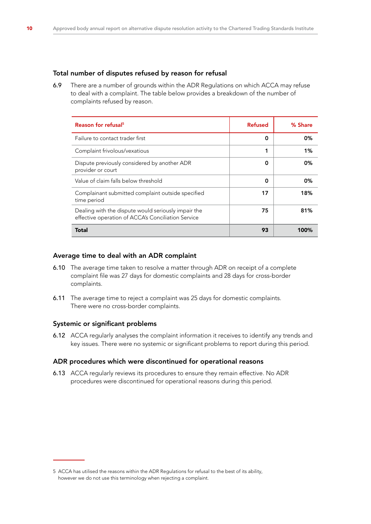## Total number of disputes refused by reason for refusal

6.9 There are a number of grounds within the ADR Regulations on which ACCA may refuse to deal with a complaint. The table below provides a breakdown of the number of complaints refused by reason.

| Reason for refusal <sup>5</sup>                                                                           | <b>Refused</b> | % Share |
|-----------------------------------------------------------------------------------------------------------|----------------|---------|
| Failure to contact trader first                                                                           | 0              | 0%      |
| Complaint frivolous/vexatious                                                                             | 1              | 1%      |
| Dispute previously considered by another ADR<br>provider or court                                         | 0              | 0%      |
| Value of claim falls below threshold                                                                      | 0              | 0%      |
| Complainant submitted complaint outside specified<br>time period                                          | 17             | 18%     |
| Dealing with the dispute would seriously impair the<br>effective operation of ACCA's Conciliation Service | 75             | 81%     |
| Total                                                                                                     | 93             | 100%    |

### Average time to deal with an ADR complaint

- 6.10 The average time taken to resolve a matter through ADR on receipt of a complete complaint file was 27 days for domestic complaints and 28 days for cross-border complaints.
- 6.11 The average time to reject a complaint was 25 days for domestic complaints. There were no cross-border complaints.

## Systemic or significant problems

6.12 ACCA regularly analyses the complaint information it receives to identify any trends and key issues. There were no systemic or significant problems to report during this period.

#### ADR procedures which were discontinued for operational reasons

6.13 ACCA regularly reviews its procedures to ensure they remain effective. No ADR procedures were discontinued for operational reasons during this period.

<sup>5</sup> ACCA has utilised the reasons within the ADR Regulations for refusal to the best of its ability, however we do not use this terminology when rejecting a complaint.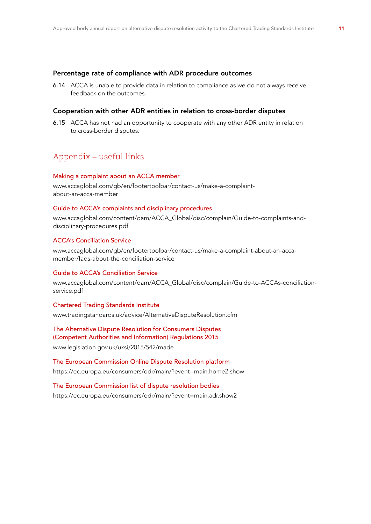#### Percentage rate of compliance with ADR procedure outcomes

6.14 ACCA is unable to provide data in relation to compliance as we do not always receive feedback on the outcomes.

## Cooperation with other ADR entities in relation to cross-border disputes

6.15 ACCA has not had an opportunity to cooperate with any other ADR entity in relation to cross-border disputes.

## Appendix – useful links

#### Making a complaint about an ACCA member

[www.accaglobal.com/gb/en/footertoolbar/contact-us/make-a-complaint](http://www.accaglobal.com/gb/en/footertoolbar/contact-us/make-a-complaint-about-an-acca-member)[about-an-acca-member](http://www.accaglobal.com/gb/en/footertoolbar/contact-us/make-a-complaint-about-an-acca-member)

### Guide to ACCA's complaints and disciplinary procedures

[www.accaglobal.com/content/dam/ACCA\\_Global/disc/complain/Guide-to-complaints-and](http://www.accaglobal.com/content/dam/ACCA_Global/disc/complain/Guide-to-complaints-and-disciplinary-procedures.pdf)[disciplinary-procedures.pdf](http://www.accaglobal.com/content/dam/ACCA_Global/disc/complain/Guide-to-complaints-and-disciplinary-procedures.pdf)

### ACCA's Conciliation Service

[www.accaglobal.com/gb/en/footertoolbar/contact-us/make-a-complaint-about-an-acca](http://www.accaglobal.com/gb/en/footertoolbar/contact-us/make-a-complaint-about-an-acca-member/faqs-about-the-conciliation-service)[member/faqs-about-the-conciliation-service](http://www.accaglobal.com/gb/en/footertoolbar/contact-us/make-a-complaint-about-an-acca-member/faqs-about-the-conciliation-service)

#### Guide to ACCA's Conciliation Service

[www.accaglobal.com/content/dam/ACCA\\_Global/disc/complain/Guide-to-ACCAs-conciliation](http://www.accaglobal.com/content/dam/ACCA_Global/disc/complain/Guide-to-ACCAs-conciliation-service.pdf)[service.pdf](http://www.accaglobal.com/content/dam/ACCA_Global/disc/complain/Guide-to-ACCAs-conciliation-service.pdf)

#### Chartered Trading Standards Institute

[www.tradingstandards.uk/advice/AlternativeDisputeResolution.cfm](http://www.tradingstandards.uk/advice/AlternativeDisputeResolution.cfm)

#### The Alternative Dispute Resolution for Consumers Disputes (Competent Authorities and Information) Regulations 2015

[www.legislation.gov.uk/uksi/2015/542/made](http://www.legislation.gov.uk/uksi/2015/542/made)

The European Commission Online Dispute Resolution platform <https://ec.europa.eu/consumers/odr/main/?event=main.home2.show>

The European Commission list of dispute resolution bodies <https://ec.europa.eu/consumers/odr/main/?event=main.adr.show2>